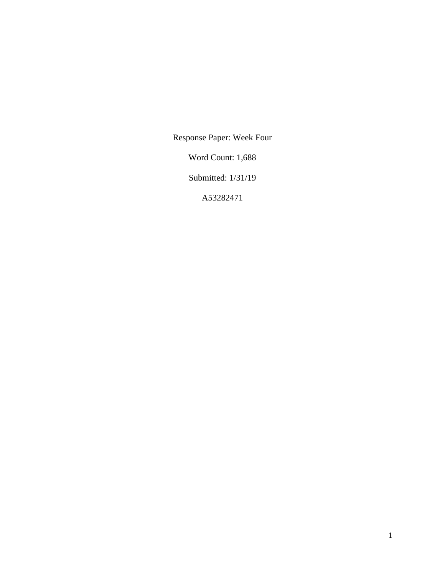Response Paper: Week Four

Word Count: 1,688

Submitted: 1/31/19

A53282471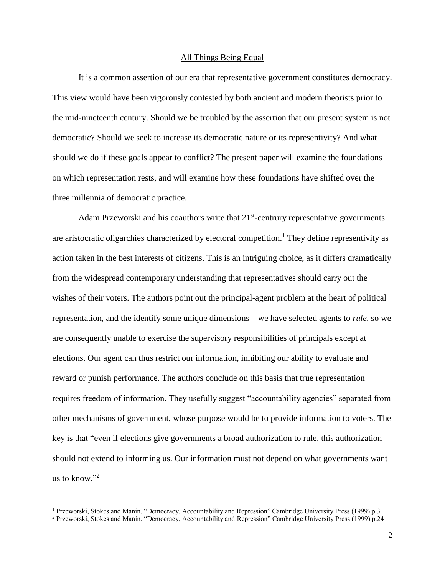## All Things Being Equal

It is a common assertion of our era that representative government constitutes democracy. This view would have been vigorously contested by both ancient and modern theorists prior to the mid-nineteenth century. Should we be troubled by the assertion that our present system is not democratic? Should we seek to increase its democratic nature or its representivity? And what should we do if these goals appear to conflict? The present paper will examine the foundations on which representation rests, and will examine how these foundations have shifted over the three millennia of democratic practice.

Adam Przeworski and his coauthors write that  $21<sup>st</sup>$ -centrury representative governments are aristocratic oligarchies characterized by electoral competition.<sup>1</sup> They define representivity as action taken in the best interests of citizens. This is an intriguing choice, as it differs dramatically from the widespread contemporary understanding that representatives should carry out the wishes of their voters. The authors point out the principal-agent problem at the heart of political representation, and the identify some unique dimensions—we have selected agents to *rule*, so we are consequently unable to exercise the supervisory responsibilities of principals except at elections. Our agent can thus restrict our information, inhibiting our ability to evaluate and reward or punish performance. The authors conclude on this basis that true representation requires freedom of information. They usefully suggest "accountability agencies" separated from other mechanisms of government, whose purpose would be to provide information to voters. The key is that "even if elections give governments a broad authorization to rule, this authorization should not extend to informing us. Our information must not depend on what governments want us to know." $^2$ 

<sup>&</sup>lt;sup>1</sup> Przeworski, Stokes and Manin. "Democracy, Accountability and Repression" Cambridge University Press (1999) p.3

<sup>&</sup>lt;sup>2</sup> Przeworski, Stokes and Manin. "Democracy, Accountability and Repression" Cambridge University Press (1999) p.24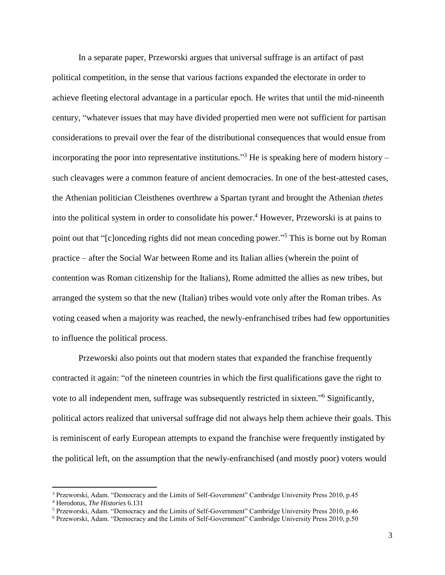In a separate paper, Przeworski argues that universal suffrage is an artifact of past political competition, in the sense that various factions expanded the electorate in order to achieve fleeting electoral advantage in a particular epoch. He writes that until the mid-nineenth century, "whatever issues that may have divided propertied men were not sufficient for partisan considerations to prevail over the fear of the distributional consequences that would ensue from incorporating the poor into representative institutions."<sup>3</sup> He is speaking here of modern history – such cleavages were a common feature of ancient democracies. In one of the best-attested cases, the Athenian politician Cleisthenes overthrew a Spartan tyrant and brought the Athenian *thetes* into the political system in order to consolidate his power.<sup>4</sup> However, Przeworski is at pains to point out that "[c]onceding rights did not mean conceding power."<sup>5</sup> This is borne out by Roman practice – after the Social War between Rome and its Italian allies (wherein the point of contention was Roman citizenship for the Italians), Rome admitted the allies as new tribes, but arranged the system so that the new (Italian) tribes would vote only after the Roman tribes. As voting ceased when a majority was reached, the newly-enfranchised tribes had few opportunities to influence the political process.

Przeworski also points out that modern states that expanded the franchise frequently contracted it again: "of the nineteen countries in which the first qualifications gave the right to vote to all independent men, suffrage was subsequently restricted in sixteen."<sup>6</sup> Significantly, political actors realized that universal suffrage did not always help them achieve their goals. This is reminiscent of early European attempts to expand the franchise were frequently instigated by the political left, on the assumption that the newly-enfranchised (and mostly poor) voters would

 $\overline{a}$ 

<sup>&</sup>lt;sup>3</sup> Przeworski, Adam. "Democracy and the Limits of Self-Government" Cambridge University Press 2010, p.45

<sup>4</sup> Herodotus, *The Histories* 6.131

<sup>5</sup> Przeworski, Adam. "Democracy and the Limits of Self-Government" Cambridge University Press 2010, p.46

<sup>6</sup> Przeworski, Adam. "Democracy and the Limits of Self-Government" Cambridge University Press 2010, p.50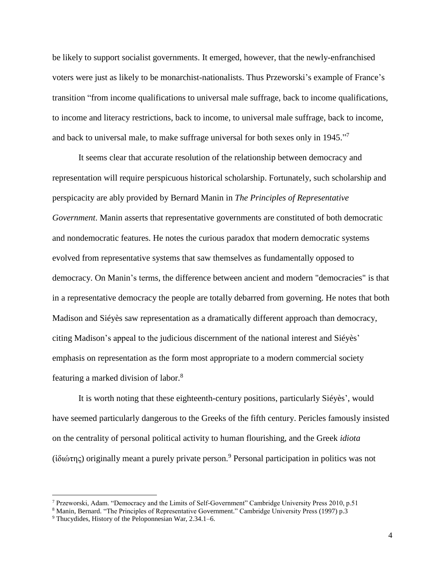be likely to support socialist governments. It emerged, however, that the newly-enfranchised voters were just as likely to be monarchist-nationalists. Thus Przeworski's example of France's transition "from income qualifications to universal male suffrage, back to income qualifications, to income and literacy restrictions, back to income, to universal male suffrage, back to income, and back to universal male, to make suffrage universal for both sexes only in 1945."<sup>7</sup>

It seems clear that accurate resolution of the relationship between democracy and representation will require perspicuous historical scholarship. Fortunately, such scholarship and perspicacity are ably provided by Bernard Manin in *The Principles of Representative Government*. Manin asserts that representative governments are constituted of both democratic and nondemocratic features. He notes the curious paradox that modern democratic systems evolved from representative systems that saw themselves as fundamentally opposed to democracy. On Manin's terms, the difference between ancient and modern "democracies" is that in a representative democracy the people are totally debarred from governing. He notes that both Madison and Siéyès saw representation as a dramatically different approach than democracy, citing Madison's appeal to the judicious discernment of the national interest and Siéyès' emphasis on representation as the form most appropriate to a modern commercial society featuring a marked division of labor.<sup>8</sup>

It is worth noting that these eighteenth-century positions, particularly Siéyès', would have seemed particularly dangerous to the Greeks of the fifth century. Pericles famously insisted on the centrality of personal political activity to human flourishing, and the Greek *idiota* (ἰδιώτης) originally meant a purely private person. <sup>9</sup> Personal participation in politics was not

<sup>7</sup> Przeworski, Adam. "Democracy and the Limits of Self-Government" Cambridge University Press 2010, p.51

<sup>&</sup>lt;sup>8</sup> Manin, Bernard. "The Principles of Representative Government." Cambridge University Press (1997) p.3

<sup>9</sup> Thucydides, History of the Peloponnesian War, 2.34.1–6.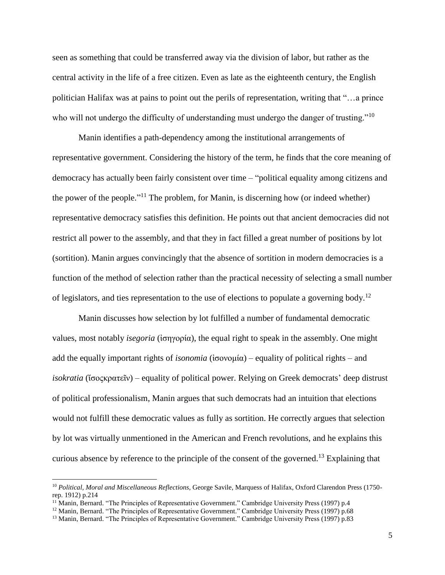seen as something that could be transferred away via the division of labor, but rather as the central activity in the life of a free citizen. Even as late as the eighteenth century, the English politician Halifax was at pains to point out the perils of representation, writing that "…a prince who will not undergo the difficulty of understanding must undergo the danger of trusting."<sup>10</sup>

Manin identifies a path-dependency among the institutional arrangements of representative government. Considering the history of the term, he finds that the core meaning of democracy has actually been fairly consistent over time – "political equality among citizens and the power of the people."<sup>11</sup> The problem, for Manin, is discerning how (or indeed whether) representative democracy satisfies this definition. He points out that ancient democracies did not restrict all power to the assembly, and that they in fact filled a great number of positions by lot (sortition). Manin argues convincingly that the absence of sortition in modern democracies is a function of the method of selection rather than the practical necessity of selecting a small number of legislators, and ties representation to the use of elections to populate a governing body.<sup>12</sup>

Manin discusses how selection by lot fulfilled a number of fundamental democratic values, most notably *isegoria* (ἰσηγορία), the equal right to speak in the assembly. One might add the equally important rights of *isonomia* (ἰσονομία) – equality of political rights – and *isokratia* (ἴσοςκρατεῖν) – equality of political power. Relying on Greek democrats' deep distrust of political professionalism, Manin argues that such democrats had an intuition that elections would not fulfill these democratic values as fully as sortition. He correctly argues that selection by lot was virtually unmentioned in the American and French revolutions, and he explains this curious absence by reference to the principle of the consent of the governed. <sup>13</sup> Explaining that

 $\overline{a}$ 

<sup>&</sup>lt;sup>10</sup> Political, Moral and Miscellaneous Reflections, George Savile, Marquess of Halifax, Oxford Clarendon Press (1750rep. 1912) p.214

 $11$  Manin, Bernard. "The Principles of Representative Government." Cambridge University Press (1997) p.4

<sup>&</sup>lt;sup>12</sup> Manin, Bernard. "The Principles of Representative Government." Cambridge University Press (1997) p.68

<sup>&</sup>lt;sup>13</sup> Manin, Bernard. "The Principles of Representative Government." Cambridge University Press (1997) p.83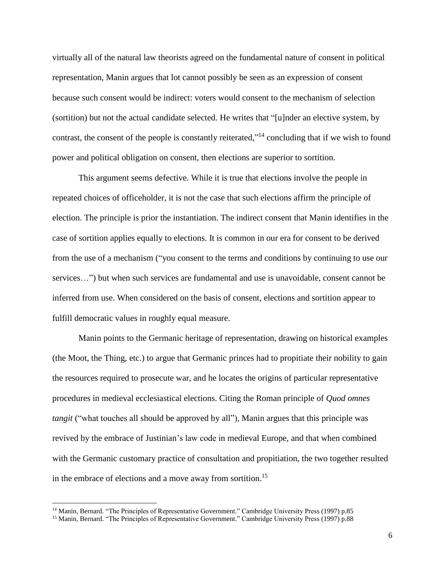virtually all of the natural law theorists agreed on the fundamental nature of consent in political representation, Manin argues that lot cannot possibly be seen as an expression of consent because such consent would be indirect: voters would consent to the mechanism of selection (sortition) but not the actual candidate selected. He writes that "[u]nder an elective system, by contrast, the consent of the people is constantly reiterated,"<sup>14</sup> concluding that if we wish to found power and political obligation on consent, then elections are superior to sortition.

This argument seems defective. While it is true that elections involve the people in repeated choices of officeholder, it is not the case that such elections affirm the principle of election. The principle is prior the instantiation. The indirect consent that Manin identifies in the case of sortition applies equally to elections. It is common in our era for consent to be derived from the use of a mechanism ("you consent to the terms and conditions by continuing to use our services…") but when such services are fundamental and use is unavoidable, consent cannot be inferred from use. When considered on the basis of consent, elections and sortition appear to fulfill democratic values in roughly equal measure.

Manin points to the Germanic heritage of representation, drawing on historical examples (the Moot, the Thing, etc.) to argue that Germanic princes had to propitiate their nobility to gain the resources required to prosecute war, and he locates the origins of particular representative procedures in medieval ecclesiastical elections. Citing the Roman principle of *Quod omnes tangit* ("what touches all should be approved by all"), Manin argues that this principle was revived by the embrace of Justinian's law code in medieval Europe, and that when combined with the Germanic customary practice of consultation and propitiation, the two together resulted in the embrace of elections and a move away from sortition.<sup>15</sup>

<sup>&</sup>lt;sup>14</sup> Manin, Bernard. "The Principles of Representative Government." Cambridge University Press (1997) p.85

<sup>&</sup>lt;sup>15</sup> Manin, Bernard. "The Principles of Representative Government." Cambridge University Press (1997) p.88